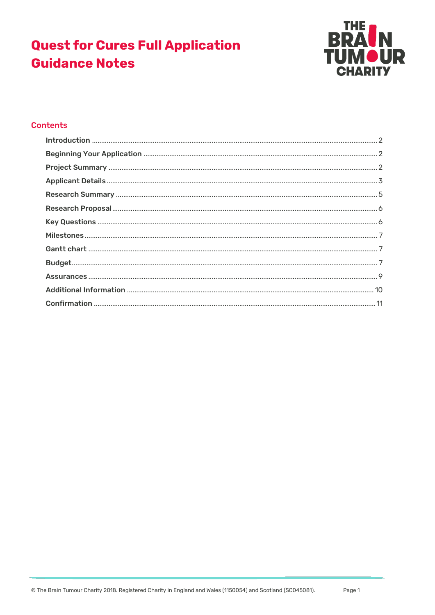# **Quest for Cures Full Application Guidance Notes**



#### **Contents**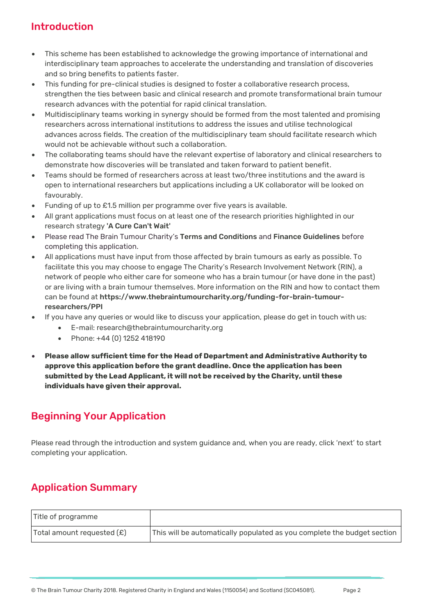# <span id="page-1-0"></span>Introduction

- This scheme has been established to acknowledge the growing importance of international and interdisciplinary team approaches to accelerate the understanding and translation of discoveries and so bring benefits to patients faster.
- This funding for pre-clinical studies is designed to foster a collaborative research process, strengthen the ties between basic and clinical research and promote transformational brain tumour research advances with the potential for rapid clinical translation.
- Multidisciplinary teams working in synergy should be formed from the most talented and promising researchers across international institutions to address the issues and utilise technological advances across fields. The creation of the multidisciplinary team should facilitate research which would not be achievable without such a collaboration.
- The collaborating teams should have the relevant expertise of laboratory and clinical researchers to demonstrate how discoveries will be translated and taken forward to patient benefit.
- Teams should be formed of researchers across at least two/three institutions and the award is open to international researchers but applications including a UK collaborator will be looked on favourably.
- Funding of up to £1.5 million per programme over five years is available.
- All grant applications must focus on at least one of the research priorities highlighted in our research strategy ['A Cure Can't Wait'](https://www.thebraintumourcharity.org/about-us/our-research-strategy/)
- Please read The Brain Tumour Charity's [Terms and Conditions](https://assets.thebraintumourcharity.org/live/media/filer_public/c6/1e/c61e4ad8-7860-4bc9-a734-38fce5fe8d67/tbtc_grant_conditions_v9.pdf) and [Finance Guidelines](https://s3-eu-west-1.amazonaws.com/assets.thebraintumourcharity.org/live/media/filer_public/82/24/822484d0-a4f2-4051-bc34-07c5378f945e/btc_finance_guidelines.pdf) before completing this application.
- All applications must have input from those affected by brain tumours as early as possible. To facilitate this you may choose to engage The Charity's Research Involvement Network (RIN), a network of people who either care for someone who has a brain tumour (or have done in the past) or are living with a brain tumour themselves. More information on the RIN and how to contact them can be found at [https://www.thebraintumourcharity.org/funding-for-brain-tumour](https://www.thebraintumourcharity.org/funding-for-brain-tumour-researchers/PPI)[researchers/PPI](https://www.thebraintumourcharity.org/funding-for-brain-tumour-researchers/PPI)
- If you have any queries or would like to discuss your application, please do get in touch with us:
	- E-mail: research@thebraintumourcharity.org
	- Phone: +44 (0) 1252 418190
- **Please allow sufficient time for the Head of Department and Administrative Authority to approve this application before the grant deadline. Once the application has been submitted by the Lead Applicant, it will not be received by the Charity, until these individuals have given their approval.**

### <span id="page-1-1"></span>Beginning Your Application

Please read through the introduction and system guidance and, when you are ready, click 'next' to start completing your application.

# <span id="page-1-2"></span>Application Summary

| Title of programme           |                                                                         |
|------------------------------|-------------------------------------------------------------------------|
| Total amount requested $(E)$ | This will be automatically populated as you complete the budget section |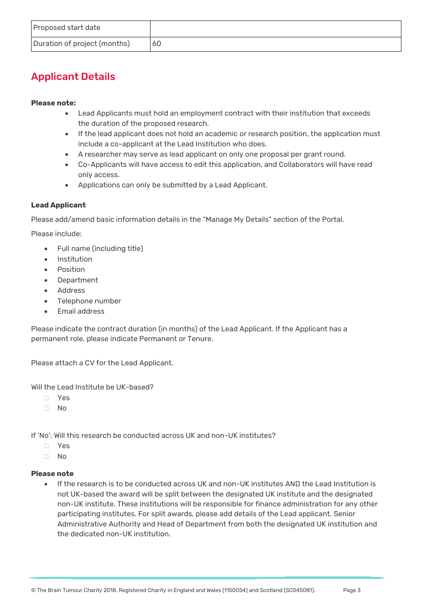# <span id="page-2-0"></span>Applicant Details

#### **Please note:**

- Lead Applicants must hold an employment contract with their institution that exceeds the duration of the proposed research.
- If the lead applicant does not hold an academic or research position, the application must include a co-applicant at the Lead Institution who does.
- A researcher may serve as lead applicant on only one proposal per grant round.
- Co-Applicants will have access to edit this application, and Collaborators will have read only access.
- Applications can only be submitted by a Lead Applicant.

#### **Lead Applicant**

Please add/amend basic information details in the "Manage My Details" section of the Portal.

Please include:

- Full name (including title)
- Institution
- Position
- Department
- Address
- Telephone number
- Email address

Please indicate the contract duration (in months) of the Lead Applicant. If the Applicant has a permanent role, please indicate Permanent or Tenure.

Please attach a CV for the Lead Applicant.

Will the Lead Institute be UK-based?

- Yes
- $\Box$  No

If 'No': Will this research be conducted across UK and non-UK institutes?

- Yes
- $\Box$  No

#### **Please note**

 If the research is to be conducted across UK and non-UK institutes AND the Lead Institution is not UK-based the award will be split between the designated UK institute and the designated non-UK institute. These institutions will be responsible for finance administration for any other participating institutes. For split awards, please add details of the Lead applicant, Senior Administrative Authority and Head of Department from both the designated UK institution and the dedicated non-UK institution.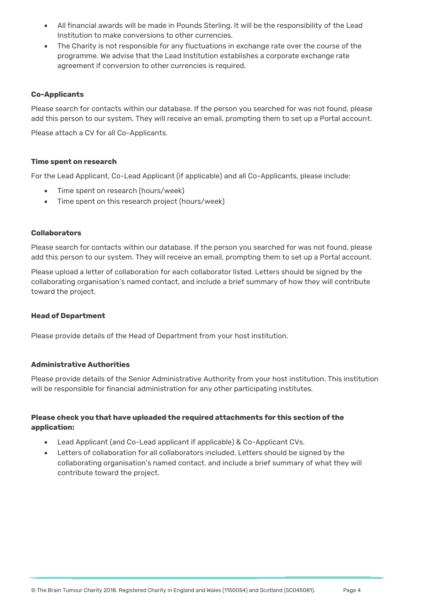- All financial awards will be made in Pounds Sterling. It will be the responsibility of the Lead Institution to make conversions to other currencies.
- The Charity is not responsible for any fluctuations in exchange rate over the course of the programme. We advise that the Lead Institution establishes a corporate exchange rate agreement if conversion to other currencies is required.

#### **Co-Applicants**

Please search for contacts within our database. If the person you searched for was not found, please add this person to our system. They will receive an email, prompting them to set up a Portal account.

Please attach a CV for all Co-Applicants.

#### **Time spent on research**

For the Lead Applicant, Co-Lead Applicant (if applicable) and all Co-Applicants, please include:

- Time spent on research (hours/week)
- Time spent on this research project (hours/week)

#### **Collaborators**

Please search for contacts within our database. If the person you searched for was not found, please add this person to our system. They will receive an email, prompting them to set up a Portal account.

Please upload a letter of collaboration for each collaborator listed. Letters should be signed by the collaborating organisation's named contact, and include a brief summary of how they will contribute toward the project.

#### **Head of Department**

Please provide details of the Head of Department from your host institution.

#### **Administrative Authorities**

Please provide details of the Senior Administrative Authority from your host institution. This institution will be responsible for financial administration for any other participating institutes.

#### **Please check you that have uploaded the required attachments for this section of the application:**

- Lead Applicant (and Co-Lead applicant if applicable) & Co-Applicant CVs.
- <span id="page-3-0"></span> Letters of collaboration for all collaborators included. Letters should be signed by the collaborating organisation's named contact, and include a brief summary of what they will contribute toward the project.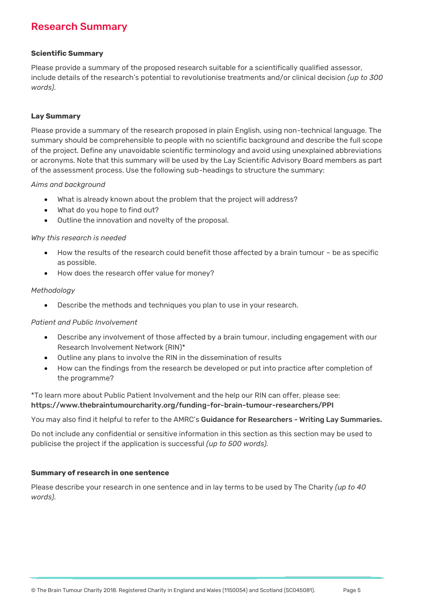### Research Summary

#### **Scientific Summary**

Please provide a summary of the proposed research suitable for a scientifically qualified assessor, include details of the research's potential to revolutionise treatments and/or clinical decision *(up to 300 words).*

#### **Lay Summary**

Please provide a summary of the research proposed in plain English, using non-technical language. The summary should be comprehensible to people with no scientific background and describe the full scope of the project. Define any unavoidable scientific terminology and avoid using unexplained abbreviations or acronyms. Note that this summary will be used by the Lay Scientific Advisory Board members as part of the assessment process. Use the following sub-headings to structure the summary:

#### *Aims and background*

- What is already known about the problem that the project will address?
- What do you hope to find out?
- Outline the innovation and novelty of the proposal.

#### *Why this research is needed*

- How the results of the research could benefit those affected by a brain tumour be as specific as possible.
- How does the research offer value for money?

#### *Methodology*

Describe the methods and techniques you plan to use in your research.

#### *Patient and Public Involvement*

- Describe any involvement of those affected by a brain tumour, including engagement with our Research Involvement Network (RIN)\*
- Outline any plans to involve the RIN in the dissemination of results
- How can the findings from the research be developed or put into practice after completion of the programme?

#### \*To learn more about Public Patient Involvement and the help our RIN can offer, please see: <https://www.thebraintumourcharity.org/funding-for-brain-tumour-researchers/PPI>

You may also find it helpful to refer to the AMRC's [Guidance for Researchers -](https://assets.thebraintumourcharity.org/live/media/filer_public/c3/23/c323bb33-aea7-44ac-8e79-2238bc23944f/amrc-guidance-for-researchers-writing-lay-summaries.pdf) Writing Lay Summaries.

Do not include any confidential or sensitive information in this section as this section may be used to publicise the project if the application is successful *(up to 500 words).*

#### **Summary of research in one sentence**

Please describe your research in one sentence and in lay terms to be used by The Charity *(up to 40 words).*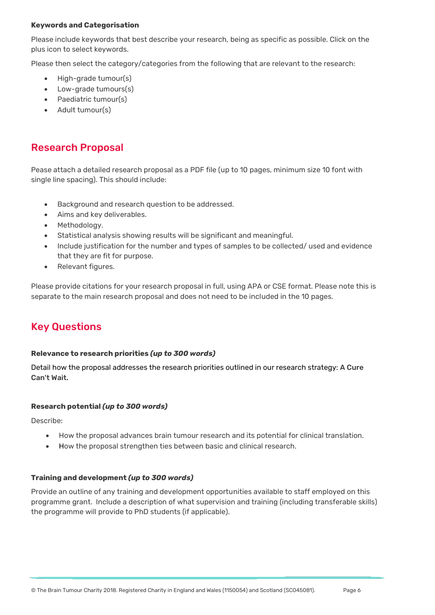#### **Keywords and Categorisation**

Please include keywords that best describe your research, being as specific as possible. Click on the plus icon to select keywords.

Please then select the category/categories from the following that are relevant to the research:

- High-grade tumour(s)
- Low-grade tumours(s)
- Paediatric tumour(s)
- Adult tumour(s)

### <span id="page-5-0"></span>Research Proposal

Pease attach a detailed research proposal as a PDF file (up to 10 pages, minimum size 10 font with single line spacing). This should include:

- Background and research question to be addressed.
- Aims and key deliverables.
- Methodology.
- Statistical analysis showing results will be significant and meaningful.
- Include justification for the number and types of samples to be collected/ used and evidence that they are fit for purpose.
- Relevant figures.

Please provide citations for your research proposal in full, using APA or CSE format. Please note this is separate to the main research proposal and does not need to be included in the 10 pages.

### <span id="page-5-1"></span>Key Questions

#### **Relevance to research priorities** *(up to 300 words)*

Detail how the proposal addresses the research priorities outlined in our research strategy: [A Cure](https://assets.thebraintumourcharity.org/live/media/filer_public/00/a3/00a3dd32-903b-4376-b057-20b23d3964d4/research_strategy_rgb_digital_final_online_version.pdf)  [Can't Wait.](https://assets.thebraintumourcharity.org/live/media/filer_public/00/a3/00a3dd32-903b-4376-b057-20b23d3964d4/research_strategy_rgb_digital_final_online_version.pdf)

#### **Research potential** *(up to 300 words)*

Describe:

- How the proposal advances brain tumour research and its potential for clinical translation.
- How the proposal strengthen ties between basic and clinical research.

#### **Training and development** *(up to 300 words)*

Provide an outline of any training and development opportunities available to staff employed on this programme grant. Include a description of what supervision and training (including transferable skills) the programme will provide to PhD students (if applicable).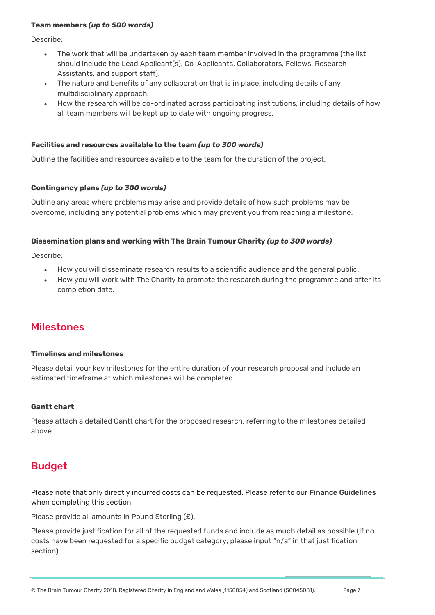#### **Team members** *(up to 500 words)*

Describe:

- The work that will be undertaken by each team member involved in the programme (the list should include the Lead Applicant(s), Co-Applicants, Collaborators, Fellows, Research Assistants, and support staff).
- The nature and benefits of any collaboration that is in place, including details of any multidisciplinary approach.
- How the research will be co-ordinated across participating institutions, including details of how all team members will be kept up to date with ongoing progress.

#### **Facilities and resources available to the team** *(up to 300 words)*

Outline the facilities and resources available to the team for the duration of the project.

#### **Contingency plans** *(up to 300 words)*

Outline any areas where problems may arise and provide details of how such problems may be overcome, including any potential problems which may prevent you from reaching a milestone.

#### **Dissemination plans and working with The Brain Tumour Charity** *(up to 300 words)*

Describe:

- How you will disseminate research results to a scientific audience and the general public.
- How you will work with The Charity to promote the research during the programme and after its completion date.

### <span id="page-6-0"></span>Milestones

#### **Timelines and milestones**

Please detail your key milestones for the entire duration of your research proposal and include an estimated timeframe at which milestones will be completed.

#### <span id="page-6-1"></span>**Gantt chart**

Please attach a detailed Gantt chart for the proposed research, referring to the milestones detailed above.

### <span id="page-6-2"></span>Budget

Please note that only directly incurred costs can be requested. Please refer to our [Finance Guidelines](https://s3-eu-west-1.amazonaws.com/assets.thebraintumourcharity.org/live/media/filer_public/82/24/822484d0-a4f2-4051-bc34-07c5378f945e/btc_finance_guidelines.pdf) when completing this section.

Please provide all amounts in Pound Sterling (£).

Please provide justification for all of the requested funds and include as much detail as possible (if no costs have been requested for a specific budget category, please input "n/a" in that justification section).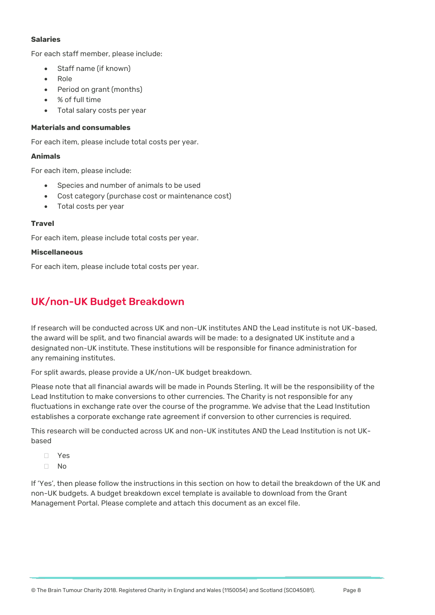#### **Salaries**

For each staff member, please include:

- Staff name (if known)
- Role
- Period on grant (months)
- % of full time
- Total salary costs per year

#### **Materials and consumables**

For each item, please include total costs per year.

#### **Animals**

For each item, please include:

- Species and number of animals to be used
- Cost category (purchase cost or maintenance cost)
- Total costs per year

#### **Travel**

For each item, please include total costs per year.

#### **Miscellaneous**

For each item, please include total costs per year.

### UK/non-UK Budget Breakdown

If research will be conducted across UK and non-UK institutes AND the Lead institute is not UK-based, the award will be split, and two financial awards will be made: to a designated UK institute and a designated non-UK institute. These institutions will be responsible for finance administration for any remaining institutes.

For split awards, please provide a UK/non-UK budget breakdown.

Please note that all financial awards will be made in Pounds Sterling. It will be the responsibility of the Lead Institution to make conversions to other currencies. The Charity is not responsible for any fluctuations in exchange rate over the course of the programme. We advise that the Lead Institution establishes a corporate exchange rate agreement if conversion to other currencies is required.

This research will be conducted across UK and non-UK institutes AND the Lead Institution is not UKbased

- Yes
- $\neg$  No

If 'Yes', then please follow the instructions in this section on how to detail the breakdown of the UK and non-UK budgets. A budget breakdown excel template is available to download from the Grant Management Portal. Please complete and attach this document as an excel file.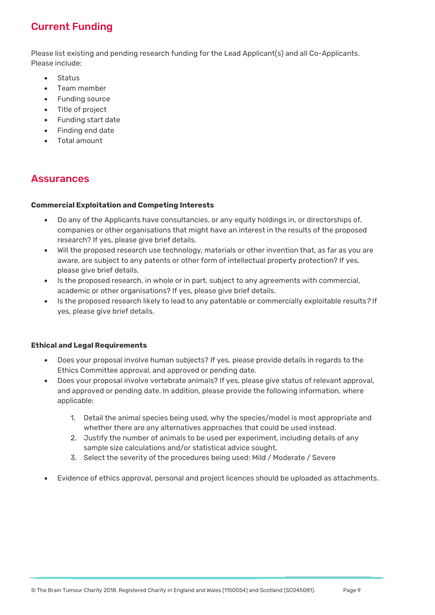# Current Funding

Please list existing and pending research funding for the Lead Applicant(s) and all Co-Applicants. Please include:

- **Status**
- Team member
- Funding source
- Title of project
- Funding start date
- Finding end date
- Total amount

### <span id="page-8-0"></span>**Assurances**

#### **Commercial Exploitation and Competing Interests**

- Do any of the Applicants have consultancies, or any equity holdings in, or directorships of, companies or other organisations that might have an interest in the results of the proposed research? If yes, please give brief details.
- Will the proposed research use technology, materials or other invention that, as far as you are aware, are subject to any patents or other form of intellectual property protection? If yes, please give brief details.
- Is the proposed research, in whole or in part, subject to any agreements with commercial, academic or other organisations? If yes, please give brief details.
- Is the proposed research likely to lead to any patentable or commercially exploitable results*?* If yes, please give brief details.

#### **Ethical and Legal Requirements**

- Does your proposal involve human subjects? If yes, please provide details in regards to the Ethics Committee approval, and approved or pending date.
- Does your proposal involve vertebrate animals? If yes, please give status of relevant approval, and approved or pending date. In addition, please provide the following information, where applicable:
	- 1. Detail the animal species being used, why the species/model is most appropriate and whether there are any alternatives approaches that could be used instead.
	- 2. Justify the number of animals to be used per experiment, including details of any sample size calculations and/or statistical advice sought.
	- 3. Select the severity of the procedures being used: Mild / Moderate / Severe
- <span id="page-8-1"></span>Evidence of ethics approval, personal and project licences should be uploaded as attachments.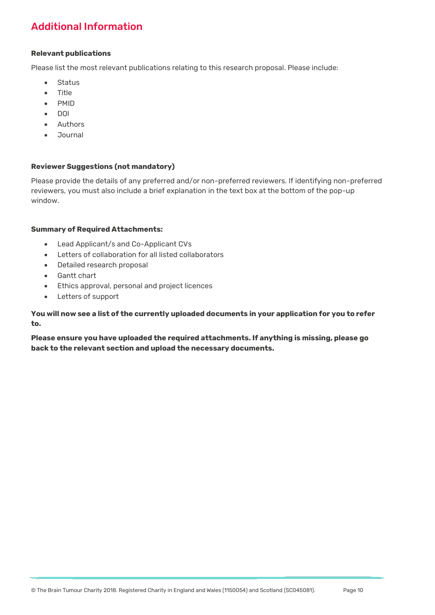# Additional Information

#### **Relevant publications**

Please list the most relevant publications relating to this research proposal. Please include:

- **Status**
- Title
- **•** PMID
- $\bullet$  DOI
- Authors
- **Journal**

#### **Reviewer Suggestions (not mandatory)**

Please provide the details of any preferred and/or non-preferred reviewers. If identifying non-preferred reviewers, you must also include a brief explanation in the text box at the bottom of the pop-up window.

#### **Summary of Required Attachments:**

- Lead Applicant/s and Co-Applicant CVs
- Letters of collaboration for all listed collaborators
- Detailed research proposal
- Gantt chart
- Ethics approval, personal and project licences
- Letters of support

#### **You will now see a list of the currently uploaded documents in your application for you to refer to.**

<span id="page-9-0"></span>**Please ensure you have uploaded the required attachments. If anything is missing, please go back to the relevant section and upload the necessary documents.**